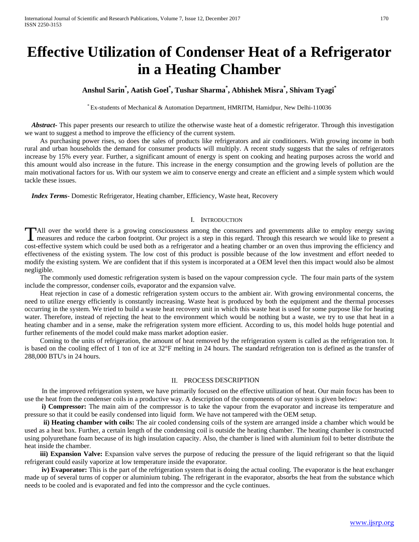# **Effective Utilization of Condenser Heat of a Refrigerator in a Heating Chamber**

# **Anshul Sarin\* , Aatish Goel\* , Tushar Sharma\* , Abhishek Misra\* , Shivam Tyagi\***

\* Ex-students of Mechanical & Automation Department, HMRITM, Hamidpur, New Delhi-110036

 *Abstract***-** This paper presents our research to utilize the otherwise waste heat of a domestic refrigerator. Through this investigation we want to suggest a method to improve the efficiency of the current system.

 As purchasing power rises, so does the sales of products like refrigerators and air conditioners. With growing income in both rural and urban households the demand for consumer products will multiply. A recent study suggests that the sales of refrigerators increase by 15% every year. Further, a significant amount of energy is spent on cooking and heating purposes across the world and this amount would also increase in the future. This increase in the energy consumption and the growing levels of pollution are the main motivational factors for us. With our system we aim to conserve energy and create an efficient and a simple system which would tackle these issues.

 *Index Terms*- Domestic Refrigerator, Heating chamber, Efficiency, Waste heat, Recovery

#### I. INTRODUCTION

All over the world there is a growing consciousness among the consumers and governments alike to employ energy saving TAII over the world there is a growing consciousness among the consumers and governments alike to employ energy saving<br>
measures and reduce the carbon footprint. Our project is a step in this regard. Through this research cost-effective system which could be used both as a refrigerator and a heating chamber or an oven thus improving the efficiency and effectiveness of the existing system. The low cost of this product is possible because of the low investment and effort needed to modify the existing system. We are confident that if this system is incorporated at a OEM level then this impact would also be almost negligible.

 The commonly used domestic refrigeration system is based on the vapour compression cycle. The four main parts of the system include the compressor, condenser coils, evaporator and the expansion valve.

 Heat rejection in case of a domestic refrigeration system occurs to the ambient air. With growing environmental concerns, the need to utilize energy efficiently is constantly increasing. Waste heat is produced by both the equipment and the thermal processes occurring in the system. We tried to build a waste heat recovery unit in which this waste heat is used for some purpose like for heating water. Therefore, instead of rejecting the heat to the environment which would be nothing but a waste, we try to use that heat in a heating chamber and in a sense, make the refrigeration system more efficient. According to us, this model holds huge potential and further refinements of the model could make mass market adoption easier.

 Coming to the units of refrigeration, the amount of heat removed by the refrigeration system is called as the refrigeration ton. It is based on the cooling effect of 1 ton of ice at 32°F melting in 24 hours. The standard refrigeration ton is defined as the transfer of 288,000 BTU's in 24 hours.

#### II. PROCESS DESCRIPTION

In the improved refrigeration system, we have primarily focused on the effective utilization of heat. Our main focus has been to use the heat from the condenser coils in a productive way. A description of the components of our system is given below:

**i) Compressor:** The main aim of the compressor is to take the vapour from the evaporator and increase its temperature and pressure so that it could be easily condensed into liquid form. We have not tampered with the OEM setup.

 **ii) Heating chamber with coils:** The air cooled condensing coils of the system are arranged inside a chamber which would be used as a heat box. Further, a certain length of the condensing coil is outside the heating chamber. The heating chamber is constructed using polyurethane foam because of its high insulation capacity. Also, the chamber is lined with aluminium foil to better distribute the heat inside the chamber.

**iii) Expansion Valve:** Expansion valve serves the purpose of reducing the pressure of the liquid refrigerant so that the liquid refrigerant could easily vaporize at low temperature inside the evaporator.

**iv) Evaporator:** This is the part of the refrigeration system that is doing the actual cooling. The evaporator is the heat exchanger made up of several turns of copper or aluminium tubing. The refrigerant in the evaporator, absorbs the heat from the substance which needs to be cooled and is evaporated and fed into the compressor and the cycle continues.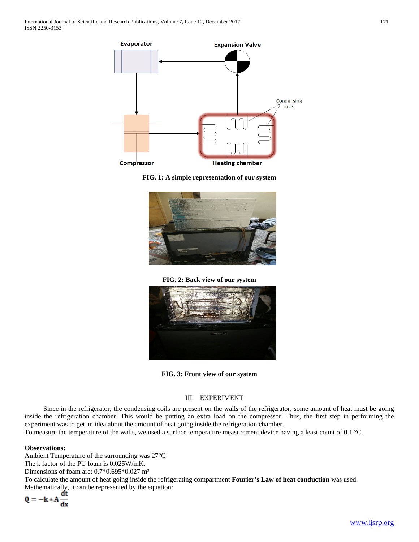





**FIG. 2: Back view of our system**



**FIG. 3: Front view of our system**

## III. EXPERIMENT

 Since in the refrigerator, the condensing coils are present on the walls of the refrigerator, some amount of heat must be going inside the refrigeration chamber. This would be putting an extra load on the compressor. Thus, the first step in performing the experiment was to get an idea about the amount of heat going inside the refrigeration chamber.

To measure the temperature of the walls, we used a surface temperature measurement device having a least count of 0.1 °C.

### **Observations:**

Ambient Temperature of the surrounding was 27°C The k factor of the PU foam is 0.025W/mK. Dimensions of foam are: 0.7\*0.695\*0.027 m<sup>3</sup> To calculate the amount of heat going inside the refrigerating compartment **Fourier's Law of heat conduction** was used. Mathematically, it can be represented by the equation:

$$
Q = -k * A \frac{dt}{dx}
$$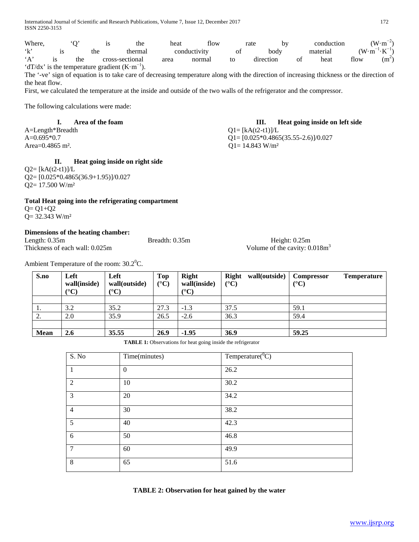| Where, |     | 1S                                                       | the             | heat | flow         |    | rate<br>by |    | conduction |                    | $(W \cdot m^{-2})$     |
|--------|-----|----------------------------------------------------------|-----------------|------|--------------|----|------------|----|------------|--------------------|------------------------|
| 61.2   |     | the                                                      | thermal         |      | conductivity | ΟĪ | body       |    | material   | $(W \cdot m^{-1})$ | $^{-1} \cdot K^{-1}$ ) |
| `A`    | the |                                                          | cross-sectional | area | normal       | to | direction  | ΟÌ | heat       | flow               | $(m^2)$                |
|        |     | 'dT/dx' is the temperature gradient $(K \cdot m^{-1})$ . |                 |      |              |    |            |    |            |                    |                        |

The '-ve' sign of equation is to take care of decreasing temperature along with the direction of increasing thickness or the direction of the heat flow.

First, we calculated the temperature at the inside and outside of the two walls of the refrigerator and the compressor.

The following calculations were made:

A=Length\*Breadth  $Q1 = [kA(t2-t1)]/L$ Area=0.4865 m<sup>2</sup>.  $Q1 = 14.843 \text{ W/m}^2$ 

# **II. Heat going inside on right side**

 $Q2 = [kA(t2-t1)]/L$ Q2= [0.025\*0.4865(36.9+1.95)]/0.027 Q2= 17.500 W/m²

# **Total Heat going into the refrigerating compartment**

 $Q = Q1 + Q2$ Q= 32.343 W/m²

# **Dimensions of the heating chamber:**

| Length: $0.35m$                | Breadth: $0.35m$ | Height: $0.25m$                 |
|--------------------------------|------------------|---------------------------------|
| Thickness of each wall: 0.025m |                  | Volume of the cavity: $0.018m3$ |

Ambient Temperature of the room:  $30.2^{\circ}$ C.

| S.no      | Left<br>wall(inside)<br>$\rm ^{\circ} C$ | Left<br>wall(outside)<br>$({}^{\circ}{\rm C})$ | <b>Top</b><br>$({}^{\circ}C)$ | <b>Right</b><br>wall(inside)<br>$({}^{\circ}C)$ | <b>Right</b><br>wall(outside)<br>$(^{\circ}C)$ | <b>Compressor</b><br><b>Temperature</b><br>$(^{\circ}C)$ |
|-----------|------------------------------------------|------------------------------------------------|-------------------------------|-------------------------------------------------|------------------------------------------------|----------------------------------------------------------|
|           |                                          |                                                |                               |                                                 |                                                |                                                          |
| -1.       | 3.2                                      | 35.2                                           | 27.3                          | $-1.3$                                          | 37.5                                           | 59.1                                                     |
| <u>L.</u> | 2.0                                      | 35.9                                           | 26.5                          | $-2.6$                                          | 36.3                                           | 59.4                                                     |
|           |                                          |                                                |                               |                                                 |                                                |                                                          |
| Mean      | <b>2.6</b>                               | 35.55                                          | 26.9                          | $-1.95$                                         | 36.9                                           | 59.25                                                    |

**TABLE 1:** Observations for heat going inside the refrigerator

| S. No          | Time(minutes) | Temperature( ${}^{0}C$ ) |
|----------------|---------------|--------------------------|
| $\mathbf{1}$   | $\Omega$      | 26.2                     |
| 2              | 10            | 30.2                     |
| 3              | 20            | 34.2                     |
| $\overline{4}$ | 30            | 38.2                     |
| 5              | 40            | 42.3                     |
| 6              | 50            | 46.8                     |
| $\overline{7}$ | 60            | 49.9                     |
| 8              | 65            | 51.6                     |

**TABLE 2: Observation for heat gained by the water**

# **I. Area of the foam III. Heat going inside on left side**

A=0.695\*0.7  $Q1 = [0.025 * 0.4865(35.55 - 2.6)]/0.027$